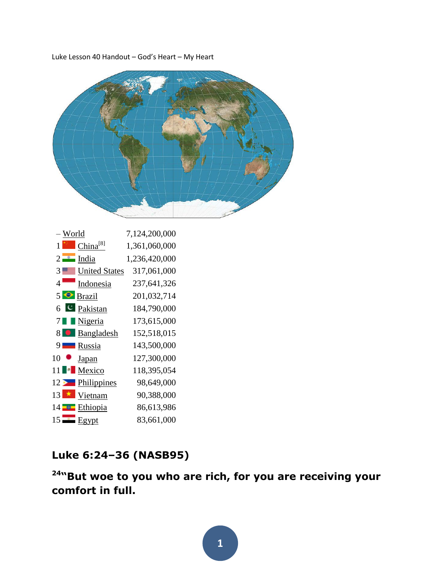Luke Lesson 40 Handout – God's Heart – My Heart

|    | – World       |                      | 7,124,200,000 |
|----|---------------|----------------------|---------------|
|    | 1 M I         | China <sup>[8]</sup> | 1,361,060,000 |
|    |               | $2$ India            | 1,236,420,000 |
| 3  | $\frac{1}{2}$ | <b>United States</b> | 317,061,000   |
| 4  |               | Indonesia            | 237,641,326   |
|    |               | $5 \bigodot$ Brazil  | 201,032,714   |
|    |               | $6$ C Pakistan       | 184,790,000   |
|    |               | Nigeria              | 173,615,000   |
| 81 |               | Bangladesh           | 152,518,015   |
| 9. |               | <b>N</b> Russia      | 143,500,000   |
| 10 |               | <b>Japan</b>         | 127,300,000   |
| 11 | - 18          | Mexico               | 118,395,054   |
|    | $12 \geq$     | Philippines          | 98,649,000    |
| 13 |               | Vietnam              | 90,388,000    |
|    | 14 <b>THE</b> | Ethiopia             | 86,613,986    |
|    |               | $15$ Egypt           | 83,661,000    |

# **Luke 6:24–36 (NASB95)**

**"But woe to you who are rich, for you are receiving your comfort in full.** 

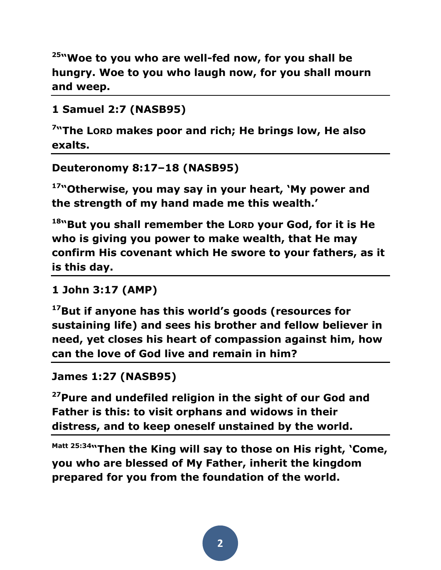**<sup>25</sup>"Woe to you who are well-fed now, for you shall be hungry. Woe to you who laugh now, for you shall mourn and weep.**

```
1 Samuel 2:7 (NASB95)
```
**7 "The LORD makes poor and rich; He brings low, He also exalts.**

```
Deuteronomy 8:17–18 (NASB95)
```
**<sup>17</sup>"Otherwise, you may say in your heart, 'My power and the strength of my hand made me this wealth.'** 

<sup>18</sup>"But you shall remember the Lorp your God, for it is He **who is giving you power to make wealth, that He may confirm His covenant which He swore to your fathers, as it is this day.** 

**1 John 3:17 (AMP)** 

**<sup>17</sup>But if anyone has this world's goods (resources for sustaining life) and sees his brother and fellow believer in need, yet closes his heart of compassion against him, how can the love of God live and remain in him?** 

```
James 1:27 (NASB95)
```
**<sup>27</sup>Pure and undefiled religion in the sight of our God and Father is this: to visit orphans and widows in their distress, and to keep oneself unstained by the world.**

**Matt 25:34"Then the King will say to those on His right, 'Come, you who are blessed of My Father, inherit the kingdom prepared for you from the foundation of the world.**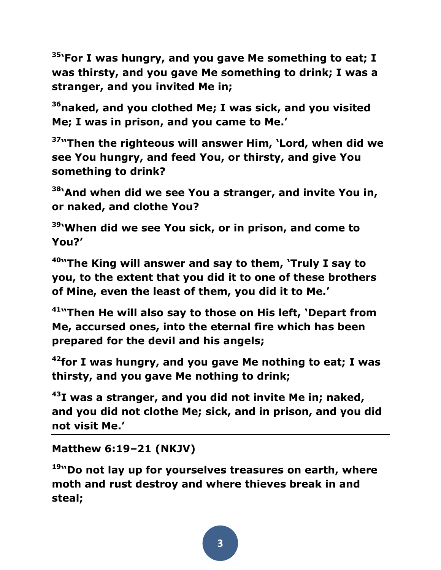**<sup>35</sup>'For I was hungry, and you gave Me something to eat; I was thirsty, and you gave Me something to drink; I was a stranger, and you invited Me in;** 

**<sup>36</sup>naked, and you clothed Me; I was sick, and you visited Me; I was in prison, and you came to Me.'** 

**<sup>37</sup>"Then the righteous will answer Him, 'Lord, when did we see You hungry, and feed You, or thirsty, and give You something to drink?** 

**<sup>38</sup>'And when did we see You a stranger, and invite You in, or naked, and clothe You?** 

**<sup>39</sup>'When did we see You sick, or in prison, and come to You?'** 

**<sup>40</sup>"The King will answer and say to them, 'Truly I say to you, to the extent that you did it to one of these brothers of Mine, even the least of them, you did it to Me.'** 

**<sup>41</sup>"Then He will also say to those on His left, 'Depart from Me, accursed ones, into the eternal fire which has been prepared for the devil and his angels;** 

**<sup>42</sup>for I was hungry, and you gave Me nothing to eat; I was thirsty, and you gave Me nothing to drink;** 

**<sup>43</sup>I was a stranger, and you did not invite Me in; naked, and you did not clothe Me; sick, and in prison, and you did not visit Me.'** 

**Matthew 6:19–21 (NKJV)** 

**<sup>19</sup>"Do not lay up for yourselves treasures on earth, where moth and rust destroy and where thieves break in and steal;**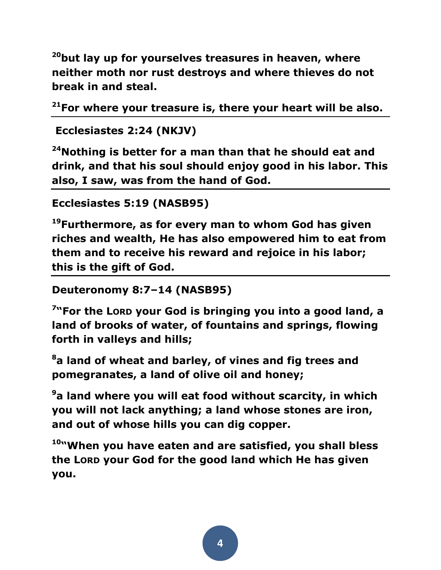**<sup>20</sup>but lay up for yourselves treasures in heaven, where neither moth nor rust destroys and where thieves do not break in and steal.** 

**<sup>21</sup>For where your treasure is, there your heart will be also.**

```
Ecclesiastes 2:24 (NKJV)
```
**<sup>24</sup>Nothing is better for a man than that he should eat and drink, and that his soul should enjoy good in his labor. This also, I saw, was from the hand of God.** 

```
Ecclesiastes 5:19 (NASB95)
```
**<sup>19</sup>Furthermore, as for every man to whom God has given riches and wealth, He has also empowered him to eat from them and to receive his reward and rejoice in his labor; this is the gift of God.** 

**Deuteronomy 8:7–14 (NASB95)** 

**7 "For the LORD your God is bringing you into a good land, a land of brooks of water, of fountains and springs, flowing forth in valleys and hills;** 

**<sup>8</sup>a land of wheat and barley, of vines and fig trees and pomegranates, a land of olive oil and honey;** 

**<sup>9</sup>a land where you will eat food without scarcity, in which you will not lack anything; a land whose stones are iron, and out of whose hills you can dig copper.** 

**<sup>10</sup>"When you have eaten and are satisfied, you shall bless the LORD your God for the good land which He has given you.**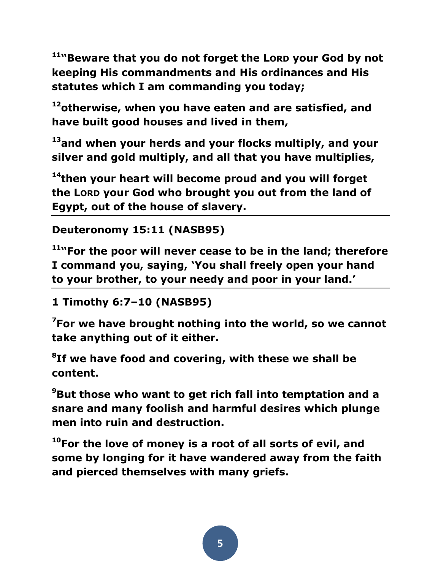<sup>11</sup>"Beware that you do not forget the LORD your God by not **keeping His commandments and His ordinances and His statutes which I am commanding you today;** 

**<sup>12</sup>otherwise, when you have eaten and are satisfied, and have built good houses and lived in them,** 

**<sup>13</sup>and when your herds and your flocks multiply, and your silver and gold multiply, and all that you have multiplies,** 

**<sup>14</sup>then your heart will become proud and you will forget the LORD your God who brought you out from the land of Egypt, out of the house of slavery.** 

```
Deuteronomy 15:11 (NASB95)
```
**<sup>11</sup>"For the poor will never cease to be in the land; therefore I command you, saying, 'You shall freely open your hand to your brother, to your needy and poor in your land.'**

```
1 Timothy 6:7–10 (NASB95)
```
**<sup>7</sup>For we have brought nothing into the world, so we cannot take anything out of it either.** 

**8 If we have food and covering, with these we shall be content.** 

**<sup>9</sup>But those who want to get rich fall into temptation and a snare and many foolish and harmful desires which plunge men into ruin and destruction.** 

**<sup>10</sup>For the love of money is a root of all sorts of evil, and some by longing for it have wandered away from the faith and pierced themselves with many griefs.**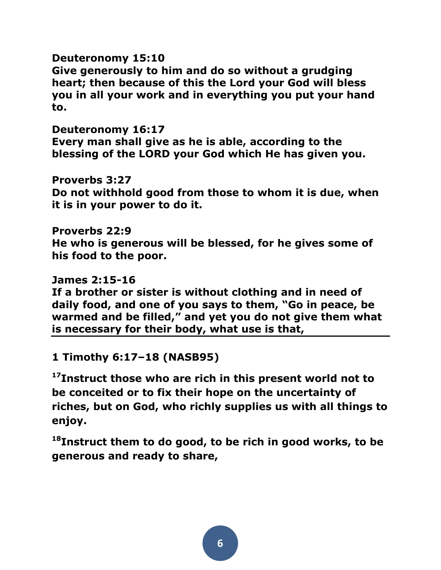# **Deuteronomy 15:10**

**Give generously to him and do so without a grudging heart; then because of this the Lord your God will bless you in all your work and in everything you put your hand to.**

**Deuteronomy 16:17**

**Every man shall give as he is able, according to the blessing of the LORD your God which He has given you.**

**Proverbs 3:27** 

**Do not withhold good from those to whom it is due, when it is in your power to do it.** 

## **Proverbs 22:9**

**He who is generous will be blessed, for he gives some of his food to the poor.**

### **James 2:15-16**

**If a brother or sister is without clothing and in need of daily food, and one of you says to them, "Go in peace, be warmed and be filled," and yet you do not give them what is necessary for their body, what use is that,**

**1 Timothy 6:17–18 (NASB95)** 

**<sup>17</sup>Instruct those who are rich in this present world not to be conceited or to fix their hope on the uncertainty of riches, but on God, who richly supplies us with all things to enjoy.** 

**<sup>18</sup>Instruct them to do good, to be rich in good works, to be generous and ready to share,**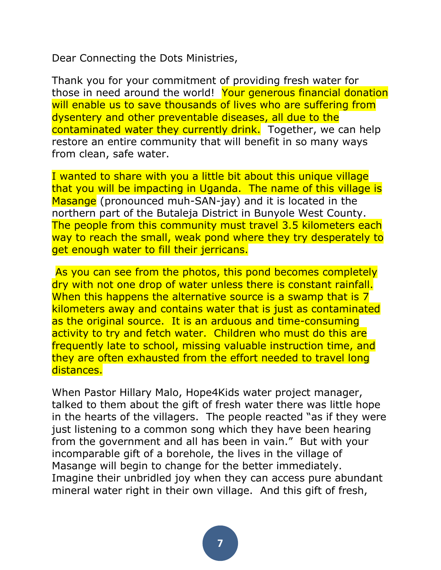Dear Connecting the Dots Ministries,

Thank you for your commitment of providing fresh water for those in need around the world! Your generous financial donation will enable us to save thousands of lives who are suffering from dysentery and other preventable diseases, all due to the contaminated water they currently drink. Together, we can help restore an entire community that will benefit in so many ways from clean, safe water.

I wanted to share with you a little bit about this unique village that you will be impacting in Uganda. The name of this village is Masange (pronounced muh-SAN-jay) and it is located in the northern part of the Butaleja District in Bunyole West County. The people from this community must travel 3.5 kilometers each way to reach the small, weak pond where they try desperately to get enough water to fill their jerricans.

As you can see from the photos, this pond becomes completely dry with not one drop of water unless there is constant rainfall. When this happens the alternative source is a swamp that is 7 kilometers away and contains water that is just as contaminated as the original source. It is an arduous and time-consuming activity to try and fetch water. Children who must do this are frequently late to school, missing valuable instruction time, and they are often exhausted from the effort needed to travel long distances.

When Pastor Hillary Malo, Hope4Kids water project manager, talked to them about the gift of fresh water there was little hope in the hearts of the villagers. The people reacted "as if they were just listening to a common song which they have been hearing from the government and all has been in vain." But with your incomparable gift of a borehole, the lives in the village of Masange will begin to change for the better immediately. Imagine their unbridled joy when they can access pure abundant mineral water right in their own village. And this gift of fresh,